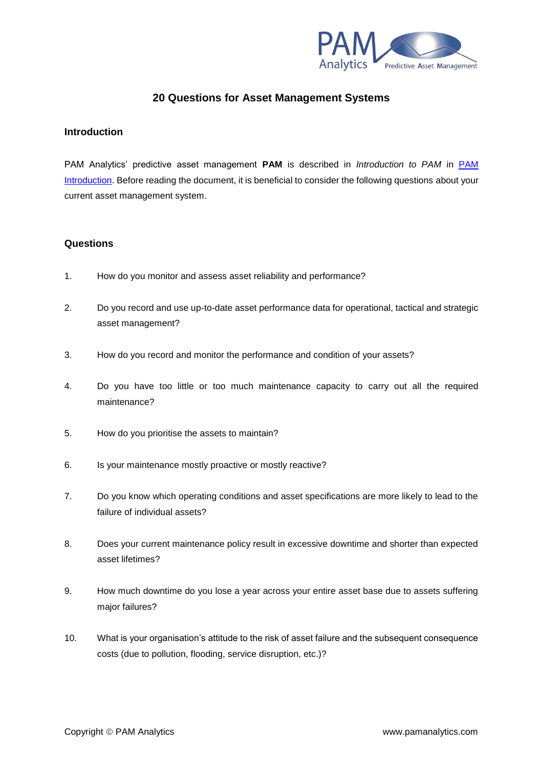

## **20 Questions for Asset Management Systems**

## **Introduction**

PAM Analytics' predictive asset management **PAM** is described in *Introduction to PAM* in [PAM](http://www.pamanalytics.com/PAM_introduction.html)  [Introduction.](http://www.pamanalytics.com/PAM_introduction.html) Before reading the document, it is beneficial to consider the following questions about your current asset management system.

## **Questions**

- 1. How do you monitor and assess asset reliability and performance?
- 2. Do you record and use up-to-date asset performance data for operational, tactical and strategic asset management?
- 3. How do you record and monitor the performance and condition of your assets?
- 4. Do you have too little or too much maintenance capacity to carry out all the required maintenance?
- 5. How do you prioritise the assets to maintain?
- 6. Is your maintenance mostly proactive or mostly reactive?
- 7. Do you know which operating conditions and asset specifications are more likely to lead to the failure of individual assets?
- 8. Does your current maintenance policy result in excessive downtime and shorter than expected asset lifetimes?
- 9. How much downtime do you lose a year across your entire asset base due to assets suffering major failures?
- 10. What is your organisation's attitude to the risk of asset failure and the subsequent consequence costs (due to pollution, flooding, service disruption, etc.)?